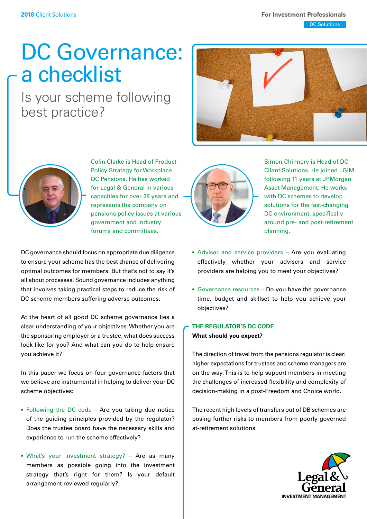# DC Governance: a checklist

Is your scheme following best practice?





Colin Clarke is Head of Product Policy Strategy for Workplace DC Pensions. He has worked for Legal & General in various capacities for over 28 years and represents the company on pensions policy issues at various government and industry forums and committees.

DC governance should focus on appropriate due diligence to ensure your scheme has the best chance of delivering optimal outcomes for members. But that's not to say it's all about processes. Sound governance includes anything that involves taking practical steps to reduce the risk of DC scheme members suffering adverse outcomes.

At the heart of all good DC scheme governance lies a clear understanding of your objectives. Whether you are the sponsoring employer or a trustee, what does success look like for you? And what can you do to help ensure you achieve it?

In this paper we focus on four governance factors that we believe are instrumental in helping to deliver your DC scheme objectives:

- Following the DC code Are you taking due notice of the guiding principles provided by the regulator? Does the trustee board have the necessary skills and experience to run the scheme effectively?
- What's your investment strategy? Are as many members as possible going into the investment strategy that's right for them? Is your default arrangement reviewed regularly?



Simon Chinnery is Head of DC Client Solutions. He joined LGIM following 11 years at JPMorgan Asset Management. He works with DC schemes to develop solutions for the fast-changing DC environment, specifically around pre- and post-retirement planning.

- Adviser and service providers Are you evaluating effectively whether your advisers and service providers are helping you to meet your objectives?
- Governance resources Do you have the governance time, budget and skillset to help you achieve your objectives?

# **THE REGULATOR'S DC CODE What should you expect?**

The direction of travel from the pensions regulator is clear: higher expectations for trustees and scheme managers are on the way. This is to help support members in meeting the challenges of increased flexibility and complexity of decision-making in a post-Freedom and Choice world.

The recent high levels of transfers out of DB schemes are posing further risks to members from poorly governed at-retirement solutions.

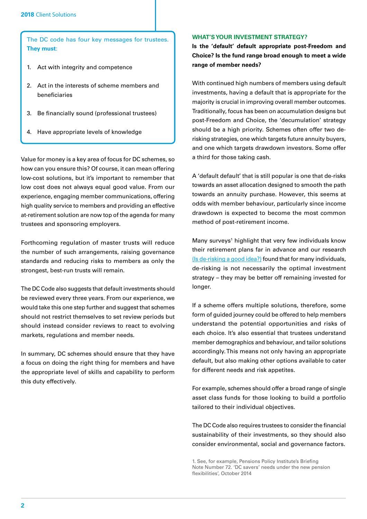The DC code has four key messages for trustees. **They must**:

- 1. Act with integrity and competence
- 2. Act in the interests of scheme members and beneficiaries
- 3. Be financially sound (professional trustees)
- 4. Have appropriate levels of knowledge

Value for money is a key area of focus for DC schemes, so how can you ensure this? Of course, it can mean offering low-cost solutions, but it's important to remember that low cost does not always equal good value. From our experience, engaging member communications, offering high quality service to members and providing an effective at-retirement solution are now top of the agenda for many trustees and sponsoring employers.

Forthcoming regulation of master trusts will reduce the number of such arrangements, raising governance standards and reducing risks to members as only the strongest, best-run trusts will remain.

The DC Code also suggests that default investments should be reviewed every three years. From our experience, we would take this one step further and suggest that schemes should not restrict themselves to set review periods but should instead consider reviews to react to evolving markets, regulations and member needs.

In summary, DC schemes should ensure that they have a focus on doing the right thing for members and have the appropriate level of skills and capability to perform this duty effectively.

### **WHAT'S YOUR INVESTMENT STRATEGY?**

**Is the 'default' default appropriate post-Freedom and Choice? Is the fund range broad enough to meet a wide range of member needs?** 

With continued high numbers of members using default investments, having a default that is appropriate for the majority is crucial in improving overall member outcomes. Traditionally, focus has been on accumulation designs but post-Freedom and Choice, the 'decumulation' strategy should be a high priority. Schemes often offer two derisking strategies, one which targets future annuity buyers, and one which targets drawdown investors. Some offer a third for those taking cash.

A 'default default' that is still popular is one that de-risks towards an asset allocation designed to smooth the path towards an annuity purchase. However, this seems at odds with member behaviour, particularly since income drawdown is expected to become the most common method of post-retirement income.

Many surveys<sup>1</sup> highlight that very few individuals know their retirement plans far in advance and our research [\(Is de-risking a good idea?](http://www.lgim.com/uk/ad/insights/our-thinking/investment-foresight/is-de-risking-a-good-idea.html)) found that for many individuals, de-risking is not necessarily the optimal investment strategy – they may be better off remaining invested for longer.

If a scheme offers multiple solutions, therefore, some form of guided journey could be offered to help members understand the potential opportunities and risks of each choice. It's also essential that trustees understand member demographics and behaviour, and tailor solutions accordingly. This means not only having an appropriate default, but also making other options available to cater for different needs and risk appetites.

For example, schemes should offer a broad range of single asset class funds for those looking to build a portfolio tailored to their individual objectives.

The DC Code also requires trustees to consider the financial sustainability of their investments, so they should also consider environmental, social and governance factors.

1. See, for example, Pensions Policy Institute's Briefing Note Number 72. 'DC savers' needs under the new pension flexibilities', October 2014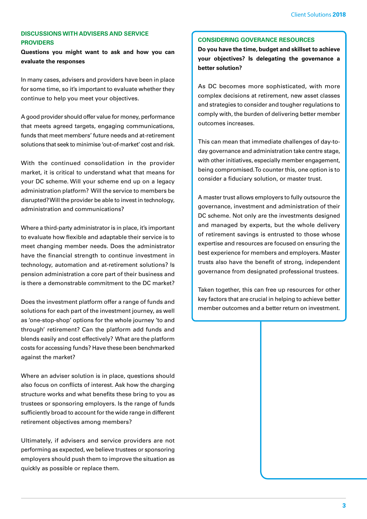## **DISCUSSIONS WITH ADVISERS AND SERVICE PROVIDERS**

**Questions you might want to ask and how you can evaluate the responses**

In many cases, advisers and providers have been in place for some time, so it's important to evaluate whether they continue to help you meet your objectives.

A good provider should offer value for money, performance that meets agreed targets, engaging communications, funds that meet members' future needs and at-retirement solutions that seek to minimise 'out-of-market' cost and risk.

With the continued consolidation in the provider market, it is critical to understand what that means for your DC scheme. Will your scheme end up on a legacy administration platform? Will the service to members be disrupted? Will the provider be able to invest in technology, administration and communications?

Where a third-party administrator is in place, it's important to evaluate how flexible and adaptable their service is to meet changing member needs. Does the administrator have the financial strength to continue investment in technology, automation and at-retirement solutions? Is pension administration a core part of their business and is there a demonstrable commitment to the DC market?

Does the investment platform offer a range of funds and solutions for each part of the investment journey, as well as 'one-stop-shop' options for the whole journey 'to and through' retirement? Can the platform add funds and blends easily and cost effectively? What are the platform costs for accessing funds? Have these been benchmarked against the market?

Where an adviser solution is in place, questions should also focus on conflicts of interest. Ask how the charging structure works and what benefits these bring to you as trustees or sponsoring employers. Is the range of funds sufficiently broad to account for the wide range in different retirement objectives among members?

Ultimately, if advisers and service providers are not performing as expected, we believe trustees or sponsoring employers should push them to improve the situation as quickly as possible or replace them.

### **CONSIDERING GOVERANCE RESOURCES**

**Do you have the time, budget and skillset to achieve your objectives? Is delegating the governance a better solution?**

As DC becomes more sophisticated, with more complex decisions at retirement, new asset classes and strategies to consider and tougher regulations to comply with, the burden of delivering better member outcomes increases.

This can mean that immediate challenges of day-today governance and administration take centre stage, with other initiatives, especially member engagement, being compromised. To counter this, one option is to consider a fiduciary solution, or master trust.

A master trust allows employers to fully outsource the governance, investment and administration of their DC scheme. Not only are the investments designed and managed by experts, but the whole delivery of retirement savings is entrusted to those whose expertise and resources are focused on ensuring the best experience for members and employers. Master trusts also have the benefit of strong, independent governance from designated professional trustees.

Taken together, this can free up resources for other key factors that are crucial in helping to achieve better member outcomes and a better return on investment.